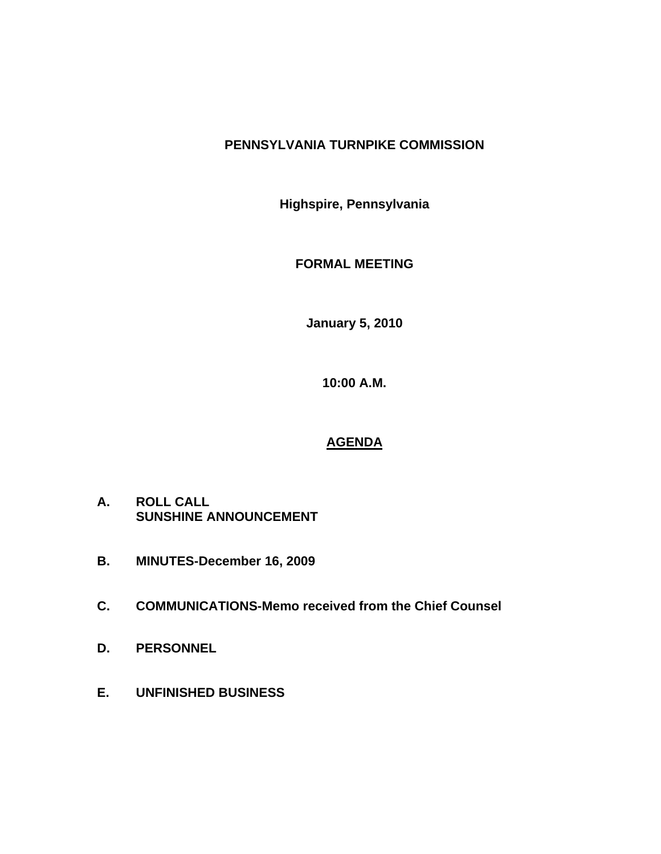# **PENNSYLVANIA TURNPIKE COMMISSION**

**Highspire, Pennsylvania** 

**FORMAL MEETING** 

**January 5, 2010** 

**10:00 A.M.** 

# **AGENDA**

- **A. ROLL CALL SUNSHINE ANNOUNCEMENT**
- **B. MINUTES-December 16, 2009**
- **C. COMMUNICATIONS-Memo received from the Chief Counsel**
- **D. PERSONNEL**
- **E. UNFINISHED BUSINESS**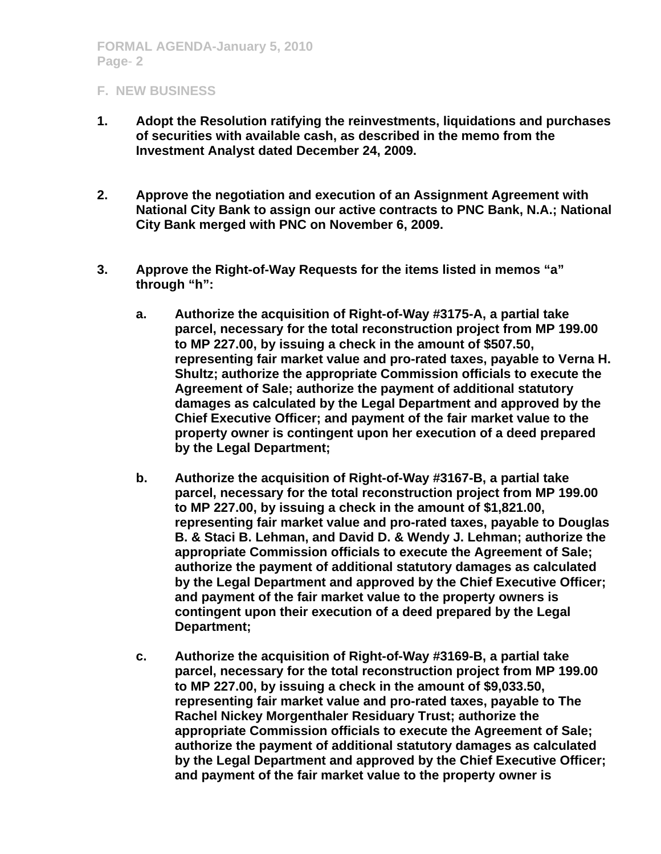- **1. Adopt the Resolution ratifying the reinvestments, liquidations and purchases of securities with available cash, as described in the memo from the Investment Analyst dated December 24, 2009.**
- **2. Approve the negotiation and execution of an Assignment Agreement with National City Bank to assign our active contracts to PNC Bank, N.A.; National City Bank merged with PNC on November 6, 2009.**
- **3. Approve the Right-of-Way Requests for the items listed in memos "a" through "h":** 
	- **a. Authorize the acquisition of Right-of-Way #3175-A, a partial take parcel, necessary for the total reconstruction project from MP 199.00 to MP 227.00, by issuing a check in the amount of \$507.50, representing fair market value and pro-rated taxes, payable to Verna H. Shultz; authorize the appropriate Commission officials to execute the Agreement of Sale; authorize the payment of additional statutory damages as calculated by the Legal Department and approved by the Chief Executive Officer; and payment of the fair market value to the property owner is contingent upon her execution of a deed prepared by the Legal Department;**
	- **b. Authorize the acquisition of Right-of-Way #3167-B, a partial take parcel, necessary for the total reconstruction project from MP 199.00 to MP 227.00, by issuing a check in the amount of \$1,821.00, representing fair market value and pro-rated taxes, payable to Douglas B. & Staci B. Lehman, and David D. & Wendy J. Lehman; authorize the appropriate Commission officials to execute the Agreement of Sale; authorize the payment of additional statutory damages as calculated by the Legal Department and approved by the Chief Executive Officer; and payment of the fair market value to the property owners is contingent upon their execution of a deed prepared by the Legal Department;**
	- **c. Authorize the acquisition of Right-of-Way #3169-B, a partial take parcel, necessary for the total reconstruction project from MP 199.00 to MP 227.00, by issuing a check in the amount of \$9,033.50, representing fair market value and pro-rated taxes, payable to The Rachel Nickey Morgenthaler Residuary Trust; authorize the appropriate Commission officials to execute the Agreement of Sale; authorize the payment of additional statutory damages as calculated by the Legal Department and approved by the Chief Executive Officer; and payment of the fair market value to the property owner is**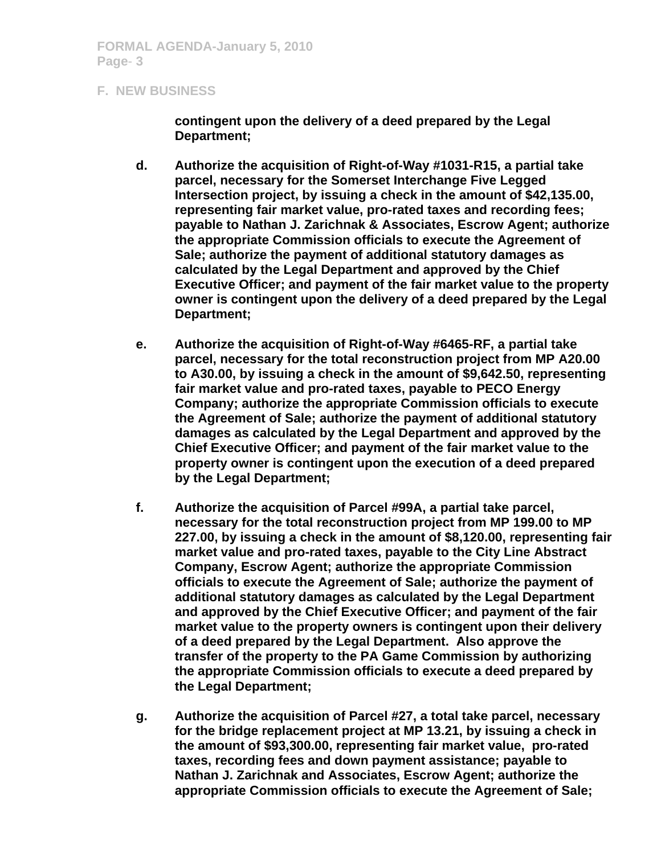**contingent upon the delivery of a deed prepared by the Legal Department;** 

- **d. Authorize the acquisition of Right-of-Way #1031-R15, a partial take parcel, necessary for the Somerset Interchange Five Legged Intersection project, by issuing a check in the amount of \$42,135.00, representing fair market value, pro-rated taxes and recording fees; payable to Nathan J. Zarichnak & Associates, Escrow Agent; authorize the appropriate Commission officials to execute the Agreement of Sale; authorize the payment of additional statutory damages as calculated by the Legal Department and approved by the Chief Executive Officer; and payment of the fair market value to the property owner is contingent upon the delivery of a deed prepared by the Legal Department;**
- **e. Authorize the acquisition of Right-of-Way #6465-RF, a partial take parcel, necessary for the total reconstruction project from MP A20.00 to A30.00, by issuing a check in the amount of \$9,642.50, representing fair market value and pro-rated taxes, payable to PECO Energy Company; authorize the appropriate Commission officials to execute the Agreement of Sale; authorize the payment of additional statutory damages as calculated by the Legal Department and approved by the Chief Executive Officer; and payment of the fair market value to the property owner is contingent upon the execution of a deed prepared by the Legal Department;**
- **f. Authorize the acquisition of Parcel #99A, a partial take parcel, necessary for the total reconstruction project from MP 199.00 to MP 227.00, by issuing a check in the amount of \$8,120.00, representing fair market value and pro-rated taxes, payable to the City Line Abstract Company, Escrow Agent; authorize the appropriate Commission officials to execute the Agreement of Sale; authorize the payment of additional statutory damages as calculated by the Legal Department and approved by the Chief Executive Officer; and payment of the fair market value to the property owners is contingent upon their delivery of a deed prepared by the Legal Department. Also approve the transfer of the property to the PA Game Commission by authorizing the appropriate Commission officials to execute a deed prepared by the Legal Department;**
- **g. Authorize the acquisition of Parcel #27, a total take parcel, necessary for the bridge replacement project at MP 13.21, by issuing a check in the amount of \$93,300.00, representing fair market value, pro-rated taxes, recording fees and down payment assistance; payable to Nathan J. Zarichnak and Associates, Escrow Agent; authorize the appropriate Commission officials to execute the Agreement of Sale;**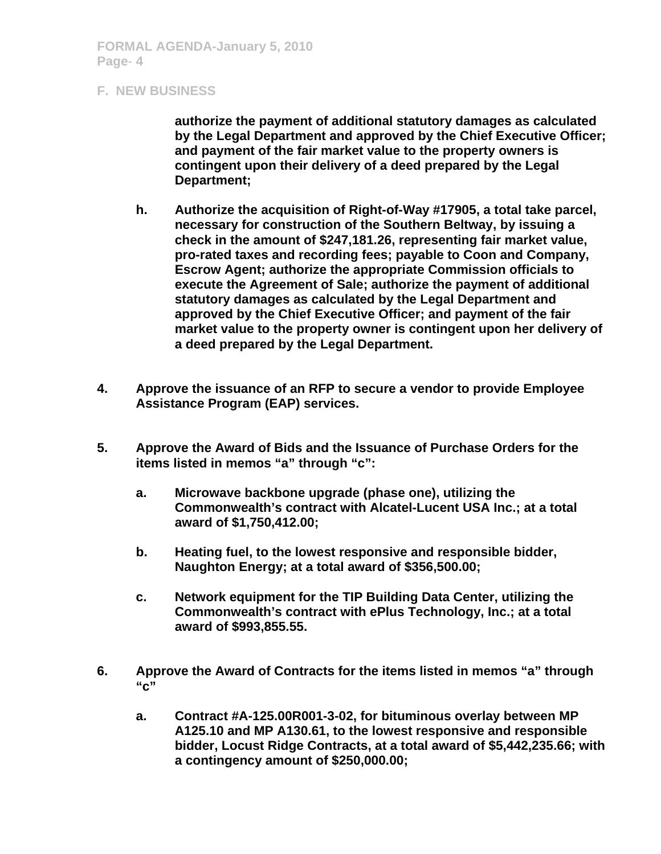**authorize the payment of additional statutory damages as calculated by the Legal Department and approved by the Chief Executive Officer; and payment of the fair market value to the property owners is contingent upon their delivery of a deed prepared by the Legal Department;** 

- **h. Authorize the acquisition of Right-of-Way #17905, a total take parcel, necessary for construction of the Southern Beltway, by issuing a check in the amount of \$247,181.26, representing fair market value, pro-rated taxes and recording fees; payable to Coon and Company, Escrow Agent; authorize the appropriate Commission officials to execute the Agreement of Sale; authorize the payment of additional statutory damages as calculated by the Legal Department and approved by the Chief Executive Officer; and payment of the fair market value to the property owner is contingent upon her delivery of a deed prepared by the Legal Department.**
- **4. Approve the issuance of an RFP to secure a vendor to provide Employee Assistance Program (EAP) services.**
- **5. Approve the Award of Bids and the Issuance of Purchase Orders for the items listed in memos "a" through "c":** 
	- **a. Microwave backbone upgrade (phase one), utilizing the Commonwealth's contract with Alcatel-Lucent USA Inc.; at a total award of \$1,750,412.00;**
	- **b. Heating fuel, to the lowest responsive and responsible bidder, Naughton Energy; at a total award of \$356,500.00;**
	- **c. Network equipment for the TIP Building Data Center, utilizing the Commonwealth's contract with ePlus Technology, Inc.; at a total award of \$993,855.55.**
- **6. Approve the Award of Contracts for the items listed in memos "a" through "c"** 
	- **a. Contract #A-125.00R001-3-02, for bituminous overlay between MP A125.10 and MP A130.61, to the lowest responsive and responsible bidder, Locust Ridge Contracts, at a total award of \$5,442,235.66; with a contingency amount of \$250,000.00;**